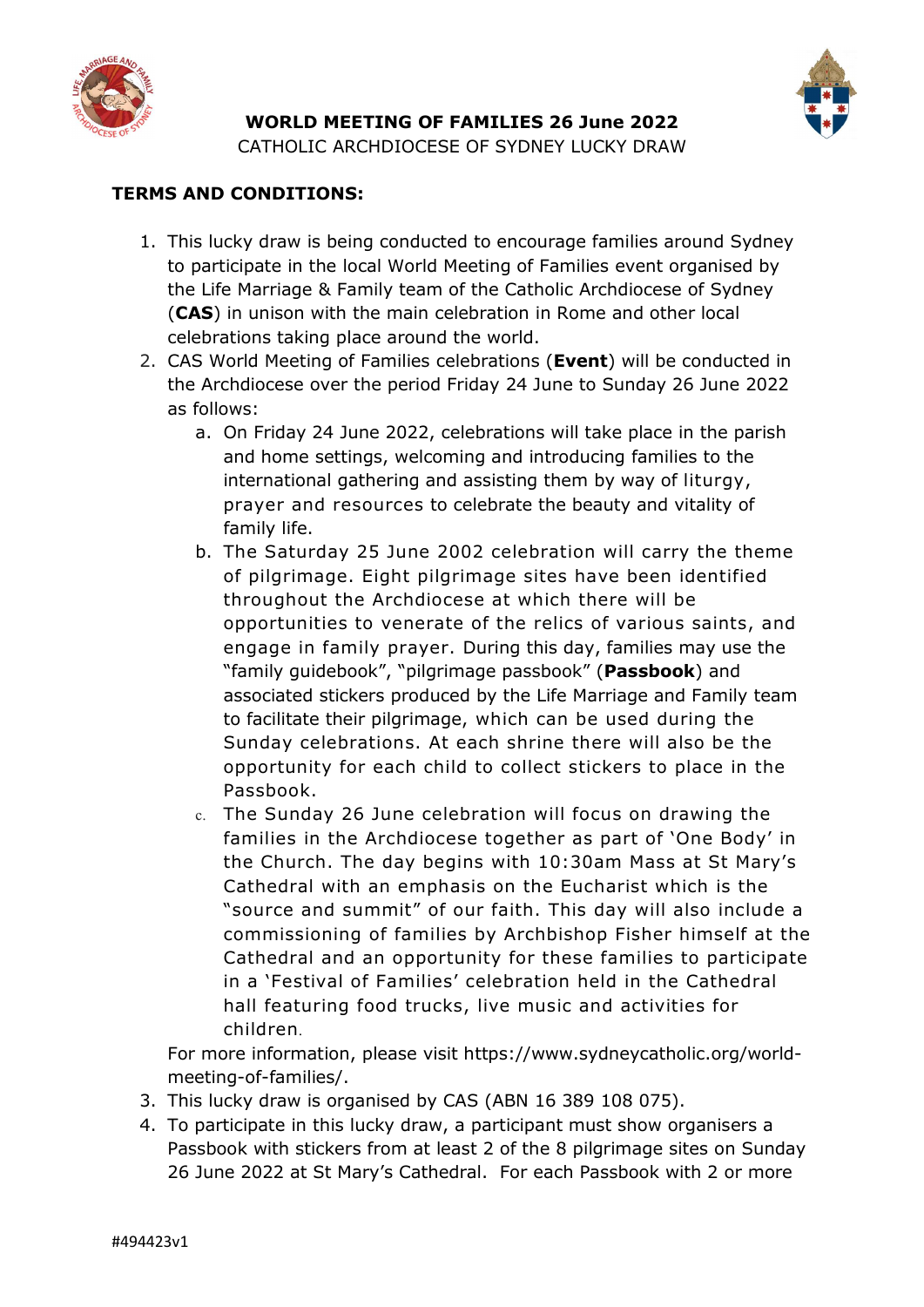

WORLD MEETING OF FAMILIES 26 June 2022

CATHOLIC ARCHDIOCESE OF SYDNEY LUCKY DRAW

## TERMS AND CONDITIONS:

- 1. This lucky draw is being conducted to encourage families around Sydney to participate in the local World Meeting of Families event organised by the Life Marriage & Family team of the Catholic Archdiocese of Sydney (CAS) in unison with the main celebration in Rome and other local celebrations taking place around the world.
- 2. CAS World Meeting of Families celebrations (Event) will be conducted in the Archdiocese over the period Friday 24 June to Sunday 26 June 2022 as follows:
	- a. On Friday 24 June 2022, celebrations will take place in the parish and home settings, welcoming and introducing families to the international gathering and assisting them by way of liturgy, prayer and resources to celebrate the beauty and vitality of family life.
	- b. The Saturday 25 June 2002 celebration will carry the theme of pilgrimage. Eight pilgrimage sites have been identified throughout the Archdiocese at which there will be opportunities to venerate of the relics of various saints, and engage in family prayer. During this day, families may use the "family guidebook", "pilgrimage passbook" (Passbook) and associated stickers produced by the Life Marriage and Family team to facilitate their pilgrimage, which can be used during the Sunday celebrations. At each shrine there will also be the opportunity for each child to collect stickers to place in the Passbook.
	- c. The Sunday 26 June celebration will focus on drawing the families in the Archdiocese together as part of 'One Body' in the Church. The day begins with 10:30am Mass at St Mary's Cathedral with an emphasis on the Eucharist which is the "source and summit" of our faith. This day will also include a commissioning of families by Archbishop Fisher himself at the Cathedral and an opportunity for these families to participate in a 'Festival of Families' celebration held in the Cathedral hall featuring food trucks, live music and activities for children.

For more information, please visit https://www.sydneycatholic.org/worldmeeting-of-families/.

- 3. This lucky draw is organised by CAS (ABN 16 389 108 075).
- 4. To participate in this lucky draw, a participant must show organisers a Passbook with stickers from at least 2 of the 8 pilgrimage sites on Sunday 26 June 2022 at St Mary's Cathedral. For each Passbook with 2 or more